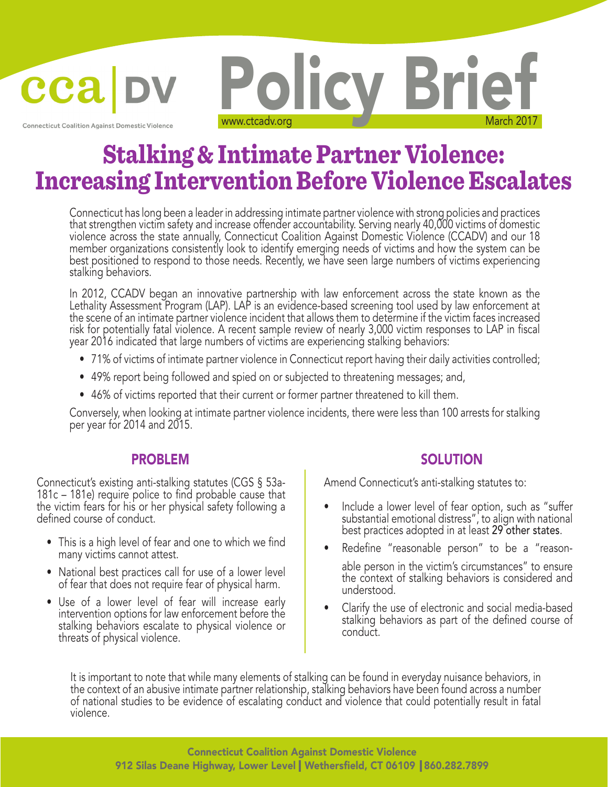

**Connecticut Coalition Against Domestic Violence** 

# Stalking & Intimate Partner Violence: Increasing Intervention Before Violence Escalates

Policy Brief

Connecticut has long been a leader in addressing intimate partner violence with strong policies and practices that strengthen victim safety and increase offender accountability. Serving nearly 40,000 victims of domestic violence across the state annually, Connecticut Coalition Against Domestic Violence (CCADV) and our 18 member organizations consistently look to identify emerging needs of victims and how the system can be best positioned to respond to those needs. Recently, we have seen large numbers of victims experiencing stalking behaviors.

In 2012, CCADV began an innovative partnership with law enforcement across the state known as the Lethality Assessment Program (LAP). LAP is an evidence-based screening tool used by law enforcement at the scene of an intimate partner violence incident that allows them to determine if the victim faces increased risk for potentially fatal violence. A recent sample review of nearly 3,000 victim responses to LAP in fiscal year 2016 indicated that large numbers of victims are experiencing stalking behaviors:

- 71% of victims of intimate partner violence in Connecticut report having their daily activities controlled;
- 49% report being followed and spied on or subjected to threatening messages; and,
- 46% of victims reported that their current or former partner threatened to kill them.

Conversely, when looking at intimate partner violence incidents, there were less than 100 arrests for stalking per year for 2014 and 2015.

Connecticut's existing anti-stalking statutes (CGS § 53a-181c – 181e) require police to find probable cause that the victim fears for his or her physical safety following a defined course of conduct.

- This is a high level of fear and one to which we find many victims cannot attest.
- National best practices call for use of a lower level of fear that does not require fear of physical harm.
- Use of a lower level of fear will increase early intervention options for law enforcement before the stalking behaviors escalate to physical violence or threats of physical violence.

# PROBLEM SOLUTION

Amend Connecticut's anti-stalking statutes to:

- Include a lower level of fear option, such as "suffer substantial emotional distress", to align with national best practices adopted in at least 29 other states.
- Redefine "reasonable person" to be a "reasonable person in the victim's circumstances" to ensure the context of stalking behaviors is considered and understood.
- Clarify the use of electronic and social media-based stalking behaviors as part of the defined course of conduct.

It is important to note that while many elements of stalking can be found in everyday nuisance behaviors, in the context of an abusive intimate partner relationship, stalking behaviors have been found across a number of national studies to be evidence of escalating conduct and violence that could potentially result in fatal violence.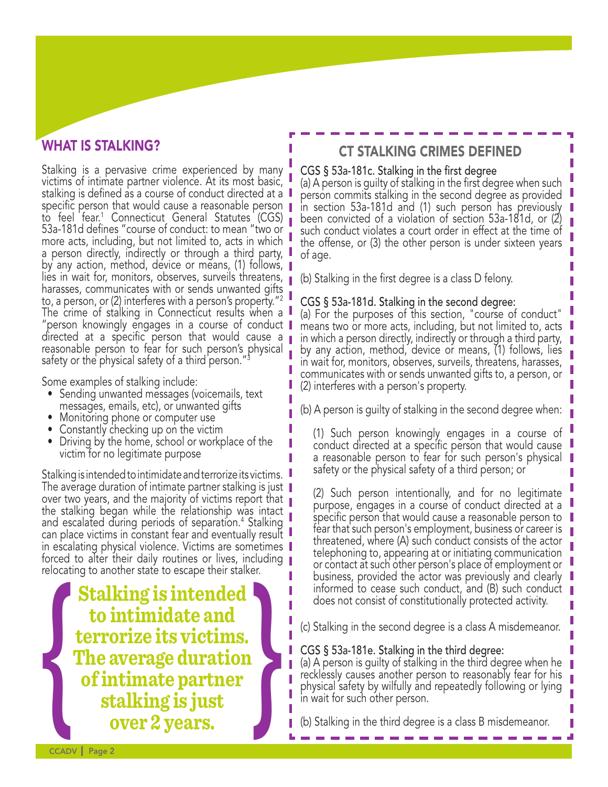# WHAT IS STALKING?

Stalking is a pervasive crime experienced by many victims of intimate partner violence. At its most basic, stalking is defined as a course of conduct directed at a  $\blacksquare$ specific person that would cause a reasonable person to feel fear.1 Connecticut General Statutes (CGS) 53a-181d defines "course of conduct: to mean "two or more acts, including, but not limited to, acts in which a person directly, indirectly or through a third party, by any action, method, device or means, (1) follows, lies in wait for, monitors, observes, surveils threatens, harasses, communicates with or sends unwanted gifts to, a person, or (2) interferes with a person's property."2 The crime of stalking in Connecticut results when a "person knowingly engages in a course of conduct directed at a specific person that would cause a reasonable person to fear for such person's physical safety or the physical safety of a third person."<sup>3</sup>

Some examples of stalking include:

- Sending unwanted messages (voicemails, text messages, emails, etc), or unwanted gifts
- Monitoring phone or computer use
- Constantly checking up on the victim
- Driving by the home, school or workplace of the victim for no legitimate purpose

Stalking is intended to intimidate and terrorize its victims.  $\blacksquare$ The average duration of intimate partner stalking is just  $\blacksquare$ over two years, and the majority of victims report that  $\blacksquare$ the stalking began while the relationship was intact and escalated during periods of separation.<sup>4</sup> Stalking can place victims in constant fear and eventually result  $\blacksquare$ in escalating physical violence. Victims are sometimes forced to alter their daily routines or lives, including relocating to another state to escape their stalker.

**Stalking is intended to intimidate and terrorize its victims. The average duration of intimate partner stalking is intended<br>to intimidate and<br>terrorize its victims.<br>The average duration<br>of intimate partner<br>stalking is just<br>over 2 years.** 

# CT STALKING CRIMES DEFINED

## CGS § 53a-181c. Stalking in the first degree

(a) A person is guilty of stalking in the first degree when such person commits stalking in the second degree as provided in section 53a-181d and (1) such person has previously been convicted of a violation of section 53a-181d, or (2) such conduct violates a court order in effect at the time of the offense, or (3) the other person is under sixteen years of age.

(b) Stalking in the first degree is a class D felony.

### CGS § 53a-181d. Stalking in the second degree:

(a) For the purposes of this section, "course of conduct" means two or more acts, including, but not limited to, acts in which a person directly, indirectly or through a third party, by any action, method, device or means, (1) follows, lies in wait for, monitors, observes, surveils, threatens, harasses, communicates with or sends unwanted gifts to, a person, or (2) interferes with a person's property.

(b) A person is guilty of stalking in the second degree when:

(1) Such person knowingly engages in a course of conduct directed at a specific person that would cause a reasonable person to fear for such person's physical safety or the physical safety of a third person; or

(2) Such person intentionally, and for no legitimate purpose, engages in a course of conduct directed at a specific person that would cause a reasonable person to fear that such person's employment, business or career is threatened, where (A) such conduct consists of the actor telephoning to, appearing at or initiating communication or contact at such other person's place of employment or business, provided the actor was previously and clearly informed to cease such conduct, and (B) such conduct does not consist of constitutionally protected activity.

(c) Stalking in the second degree is a class A misdemeanor.

### CGS § 53a-181e. Stalking in the third degree:

(a) A person is guilty of stalking in the third degree when he recklessly causes another person to reasonably fear for his physical safety by wilfully and repeatedly following or lying in wait for such other person.

(b) Stalking in the third degree is a class B misdemeanor.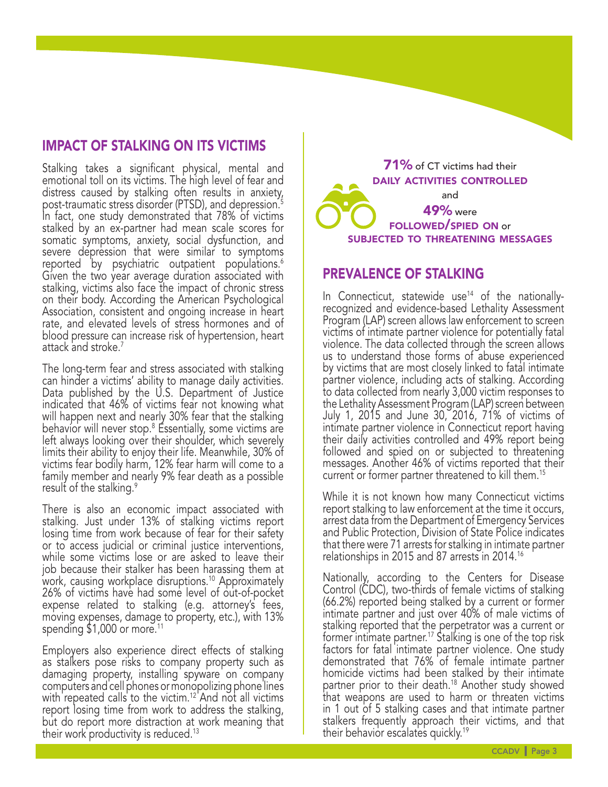# IMPACT OF STALKING ON ITS VICTIMS

Stalking takes a significant physical, mental and emotional toll on its victims. The high level of fear and distress caused by stalking often results in anxiety, post-traumatic stress disorder (PTSD), and depression.<sup>5</sup> In fact, one study demonstrated that 78% of victims stalked by an ex-partner had mean scale scores for somatic symptoms, anxiety, social dysfunction, and severe depression that were similar to symptoms reported by psychiatric outpatient populations.<sup>6</sup> Given the two year average duration associated with stalking, victims also face the impact of chronic stress on their body. According the American Psychological Association, consistent and ongoing increase in heart rate, and elevated levels of stress hormones and of blood pressure can increase risk of hypertension, heart attack and stroke.<sup>7</sup>

The long-term fear and stress associated with stalking can hinder a victims' ability to manage daily activities. Data published by the U.S. Department of Justice indicated that 46% of victims fear not knowing what will happen next and nearly 30% fear that the stalking behavior will never stop.<sup>8</sup> Essentially, some victims are left always looking over their shoulder, which severely limits their ability to enjoy their life. Meanwhile, 30% of victims fear bodily harm, 12% fear harm will come to a family member and nearly 9% fear death as a possible result of the stalking.<sup>9</sup>

There is also an economic impact associated with stalking. Just under 13% of stalking victims report losing time from work because of fear for their safety or to access judicial or criminal justice interventions, while some victims lose or are asked to leave their job because their stalker has been harassing them at<br>work, causing workplace disruptions.<sup>10</sup> Approximately 26% of victims have had some level of out-of-pocket expense related to stalking (e.g. attorney's fees, moving expenses, damage to property, etc.), with 13% spending \$1,000 or more.<sup>11</sup>

Employers also experience direct effects of stalking as stalkers pose risks to company property such as damaging property, installing spyware on company computers and cell phones or monopolizing phone lines with repeated calls to the victim.<sup>12</sup> And not all victims report losing time from work to address the stalking, but do report more distraction at work meaning that their work productivity is reduced.<sup>13</sup>



# PREVALENCE OF STALKING

In Connecticut, statewide use $14$  of the nationallyrecognized and evidence-based Lethality Assessment Program (LAP) screen allows law enforcement to screen victims of intimate partner violence for potentially fatal violence. The data collected through the screen allows us to understand those forms of abuse experienced by victims that are most closely linked to fatal intimate partner violence, including acts of stalking. According to data collected from nearly 3,000 victim responses to the Lethality Assessment Program (LAP) screen between July 1, 2015 and June 30, 2016, 71% of victims of intimate partner violence in Connecticut report having their daily activities controlled and 49% report being followed and spied on or subjected to threatening messages. Another 46% of victims reported that their current or former partner threatened to kill them.15

While it is not known how many Connecticut victims report stalking to law enforcement at the time it occurs, arrest data from the Department of Emergency Services and Public Protection, Division of State Police indicates that there were 71 arrests for stalking in intimate partner relationships in 2015 and 87 arrests in 2014.16

Nationally, according to the Centers for Disease Control (CDC), two-thirds of female victims of stalking (66.2%) reported being stalked by a current or former intimate partner and just over 40% of male victims of stalking reported that the perpetrator was a current or former intimate partner.<sup>17</sup> Stalking is one of the top risk factors for fatal intimate partner violence. One study demonstrated that 76% of female intimate partner homicide victims had been stalked by their intimate partner prior to their death.<sup>18</sup> Another study showed that weapons are used to harm or threaten victims in 1 out of 5 stalking cases and that intimate partner stalkers frequently approach their victims, and that their behavior escalates quickly.19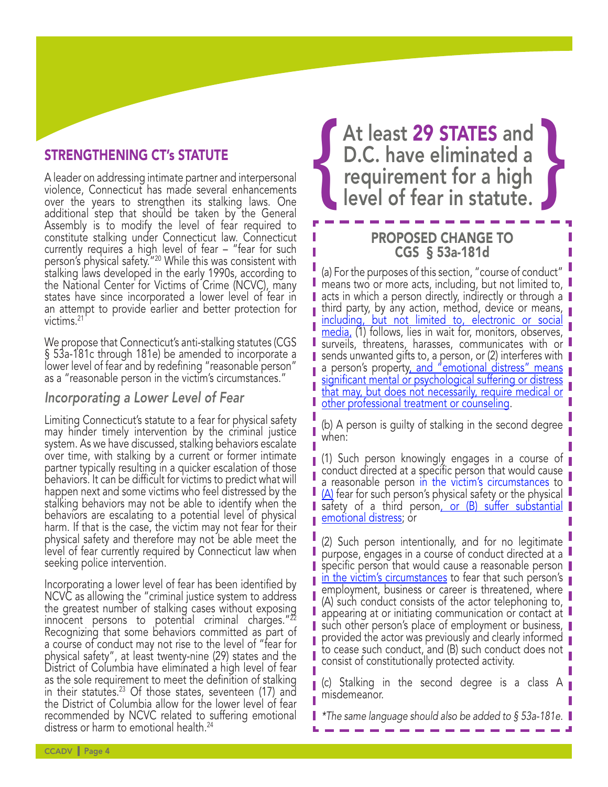# STRENGTHENING CT's STATUTE

A leader on addressing intimate partner and interpersonal violence, Connecticut has made several enhancements over the years to strengthen its stalking laws. One additional step that should be taken by the General Assembly is to modify the level of fear required to constitute stalking under Connecticut law. Connecticut currently requires a high level of fear – "fear for such person's physical safety."20 While this was consistent with stalking laws developed in the early 1990s, according to the National Center for Victims of Crime (NCVC), many states have since incorporated a lower level of fear in an attempt to provide earlier and better protection for victims.21

We propose that Connecticut's anti-stalking statutes (CGS § 53a-181c through 181e) be amended to incorporate a lower level of fear and by redefining "reasonable person" as a "reasonable person in the victim's circumstances."

## *Incorporating a Lower Level of Fear*

Limiting Connecticut's statute to a fear for physical safety may hinder timely intervention by the criminal justice system. As we have discussed, stalking behaviors escalate over time, with stalking by a current or former intimate partner typically resulting in a quicker escalation of those behaviors. It can be difficult for victims to predict what will happen next and some victims who feel distressed by the stalking behaviors may not be able to identify when the behaviors are escalating to a potential level of physical harm. If that is the case, the victim may not fear for their physical safety and therefore may not be able meet the level of fear currently required by Connecticut law when seeking police intervention.

Incorporating a lower level of fear has been identified by NCVC as allowing the "criminal justice system to address the greatest number of stalking cases without exposing innocent persons to potential criminal charges." $22$ Recognizing that some behaviors committed as part of a course of conduct may not rise to the level of "fear for physical safety", at least twenty-nine (29) states and the District of Columbia have eliminated a high level of fear as the sole requirement to meet the definition of stalking in their statutes.<sup>23</sup> Of those states, seventeen (17) and the District of Columbia allow for the lower level of fear recommended by NCVC related to suffering emotional distress or harm to emotional health.24

# At least 29 STATES and D.C. have eliminated a **EXECULTE AND A LEASE STATES and D.C.** have eliminated a requirement for a high level of fear in statute.

PROPOSED CHANGE TO CGS § 53a-181d

(a) For the purposes of this section, "course of conduct" means two or more acts, including, but not limited to, **acts in which a person directly, indirectly or through a** third party, by any action, method, device or means, including, but not limited to, electronic or social media, (1) follows, lies in wait for, monitors, observes, u surveils, threatens, harasses, communicates with or sends unwanted gifts to, a person, or (2) interferes with a person's property, and "emotional distress" means significant mental or psychological suffering or distress that may, but does not necessarily, require medical or other professional treatment or counseling.

(b) A person is guilty of stalking in the second degree when:

U

П

L

Π ı

П

(1) Such person knowingly engages in a course of conduct directed at a specific person that would cause a reasonable person in the victim's circumstances to  $\blacksquare$   $(A)$  fear for such person's physical safety or the physical  $\blacksquare$ safety of a third person, or  $(B)$  suffer substantial emotional distress; or

(2) Such person intentionally, and for no legitimate purpose, engages in a course of conduct directed at a specific person that would cause a reasonable person Ш in the victim's circumstances to fear that such person's person's employment, business or career is threatened, where (A) such conduct consists of the actor telephoning to, appearing at or initiating communication or contact at  $\blacksquare$ such other person's place of employment or business, provided the actor was previously and clearly informed to cease such conduct, and (B) such conduct does not consist of constitutionally protected activity.

(c) Stalking in the second degree is a class A misdemeanor.

*\*The same language should also be added to § 53a-181e.*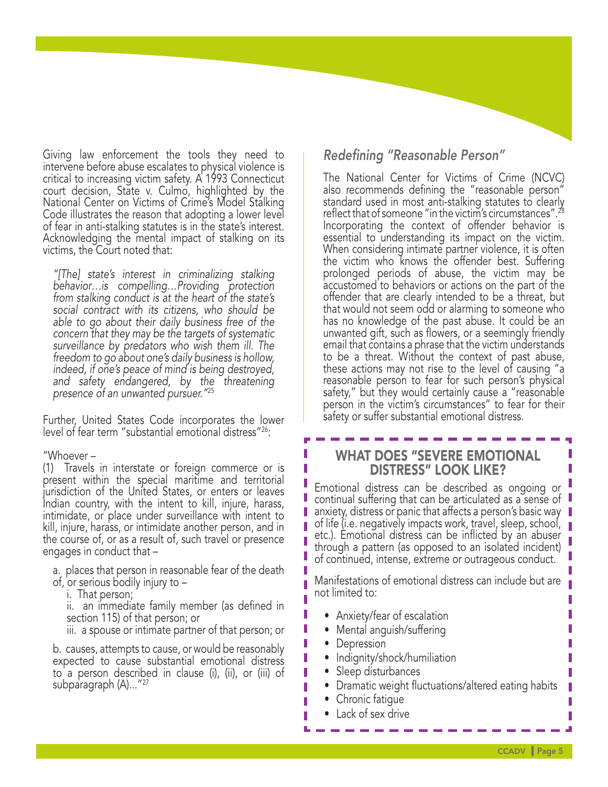Giving law enforcement the tools they need to intervene before abuse escalates to physical violence is critical to increasing victim safety. A 1993 Connecticut court decision, State v. Culmo, highlighted by the National Center on Victims of Crime's Model Stalking Code illustrates the reason that adopting a lower level of fear in anti-stalking statutes is in the state's interest. Acknowledging the mental impact of stalking on its victims, the Court noted that:

*"[The] state's interest in criminalizing stalking behavior…is compelling…Providing protection from stalking conduct is at the heart of the state's social contract with its citizens, who should be able to go about their daily business free of the concern that they may be the targets of systematic surveillance by predators who wish them ill. The freedom to go about one's daily business is hollow, indeed, if one's peace of mind is being destroyed, and safety endangered, by the threatening presence of an unwanted pursuer."*<sup>25</sup>

Further, United States Code incorporates the lower level of fear term "substantial emotional distress"26:

#### "Whoever –

(1) Travels in interstate or foreign commerce or is present within the special maritime and territorial jurisdiction of the United States, or enters or leaves Indian country, with the intent to kill, injure, harass, intimidate, or place under surveillance with intent to kill, injure, harass, or intimidate another person, and in the course of, or as a result of, such travel or presence engages in conduct that –

a. places that person in reasonable fear of the death

of, or serious bodily injury to – i. That person;

ii. an immediate family member (as defined in section 115) of that person; or

iii. a spouse or intimate partner of that person; or

b. causes, attempts to cause, or would be reasonably expected to cause substantial emotional distress to a person described in clause (i), (ii), or (iii) of subparagraph (A)..."27

# *Redefining "Reasonable Person"*

The National Center for Victims of Crime (NCVC) also recommends defining the "reasonable person" standard used in most anti-stalking statutes to clearly reflect that of someone "in the victim's circumstances".28 Incorporating the context of offender behavior is essential to understanding its impact on the victim. When considering intimate partner violence, it is often the victim who knows the offender best. Suffering prolonged periods of abuse, the victim may be accustomed to behaviors or actions on the part of the offender that are clearly intended to be a threat, but that would not seem odd or alarming to someone who has no knowledge of the past abuse. It could be an unwanted gift, such as flowers, or a seemingly friendly email that contains a phrase that the victim understands to be a threat. Without the context of past abuse, these actions may not rise to the level of causing "a reasonable person to fear for such person's physical safety," but they would certainly cause a "reasonable person in the victim's circumstances" to fear for their safety or suffer substantial emotional distress.

# WHAT DOES "SEVERE EMOTIONAL DISTRESS" LOOK LIKE?

Emotional distress can be described as ongoing or continual suffering that can be articulated as a sense of anxiety, distress or panic that affects a person's basic way of life (i.e. negatively impacts work, travel, sleep, school, etc.). Emotional distress can be inflicted by an abuser through a pattern (as opposed to an isolated incident) of continued, intense, extreme or outrageous conduct.

Manifestations of emotional distress can include but are not limited to:

- Anxiety/fear of escalation
- Mental anguish/suffering
- Depression

U

- Indignity/shock/humiliation
- Sleep disturbances
- Dramatic weight fluctuations/altered eating habits
- Chronic fatigue • Lack of sex drive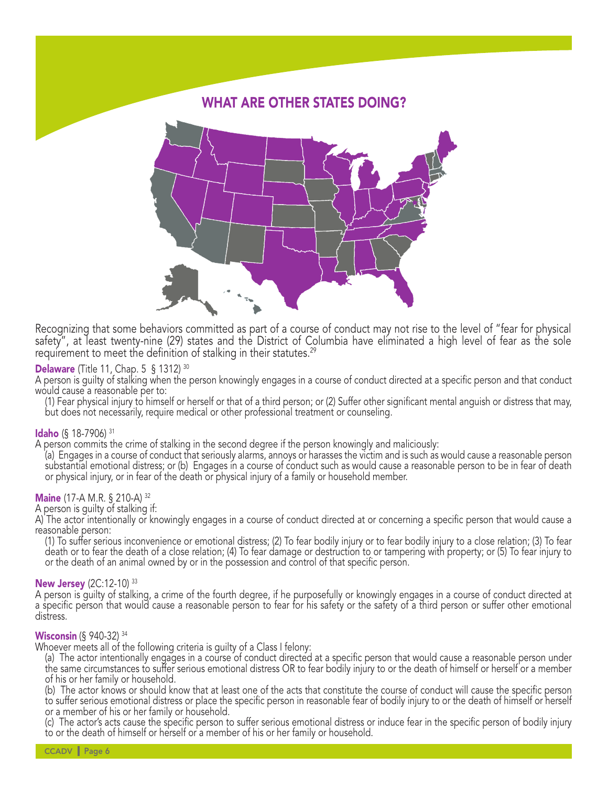# WHAT ARE OTHER STATES DOING?



Recognizing that some behaviors committed as part of a course of conduct may not rise to the level of "fear for physical safety", at least twenty-nine (29) states and the District of Columbia have eliminated a high level of fear as the sole requirement to meet the definition of stalking in their statutes.<sup>29</sup>

#### **Delaware** (Title 11, Chap. 5 § 1312)<sup>30</sup>

A person is guilty of stalking when the person knowingly engages in a course of conduct directed at a specific person and that conduct would cause a reasonable per to:

(1) Fear physical injury to himself or herself or that of a third person; or (2) Suffer other significant mental anguish or distress that may, but does not necessarily, require medical or other professional treatment or counseling.

**Idaho** (§ 18-7906) <sup>31</sup> A person commits the crime of stalking in the second degree if the person knowingly and maliciously:

(a) Engages in a course of conduct that seriously alarms, annoys or harasses the victim and is such as would cause a reasonable person substantial emotional distress; or (b) Engages in a course of conduct such as would cause a reasonable person to be in fear of death or physical injury, or in fear of the death or physical injury of a family or household member.

# **Maine** (17-A M.R. § 210-A)  $^{32}$ <br>A person is quilty of stalking if:

A) The actor intentionally or knowingly engages in a course of conduct directed at or concerning a specific person that would cause a reasonable person:

(1) To suffer serious inconvenience or emotional distress; (2) To fear bodily injury or to fear bodily injury to a close relation; (3) To fear death or to fear the death of a close relation; (4) To fear damage or destruction to or tampering with property; or (5) To fear injury to or the death of an animal owned by or in the possession and control of that specific person.

New Jersey (2C:12-10) <sup>33</sup><br>A person is guilty of stalking, a crime of the fourth degree, if he purposefully or knowingly engages in a course of conduct directed at a specific person that would cause a reasonable person to fear for his safety or the safety of a third person or suffer other emotional distress.

#### **Wisconsin** (§ 940-32)<sup>34</sup>

Whoever meets all of the following criteria is quilty of a Class I felony:

(a) The actor intentionally engages in a course of conduct directed at a specific person that would cause a reasonable person under the same circumstances to suffer serious emotional distress OR to fear bodily injury to or the death of himself or herself or a member of his or her family or household.

(b) The actor knows or should know that at least one of the acts that constitute the course of conduct will cause the specific person to suffer serious emotional distress or place the specific person in reasonable fear of bodily injury to or the death of himself or herself or a member of his or her family or household.

(c) The actor's acts cause the specific person to suffer serious emotional distress or induce fear in the specific person of bodily injury to or the death of himself or herself or a member of his or her family or household.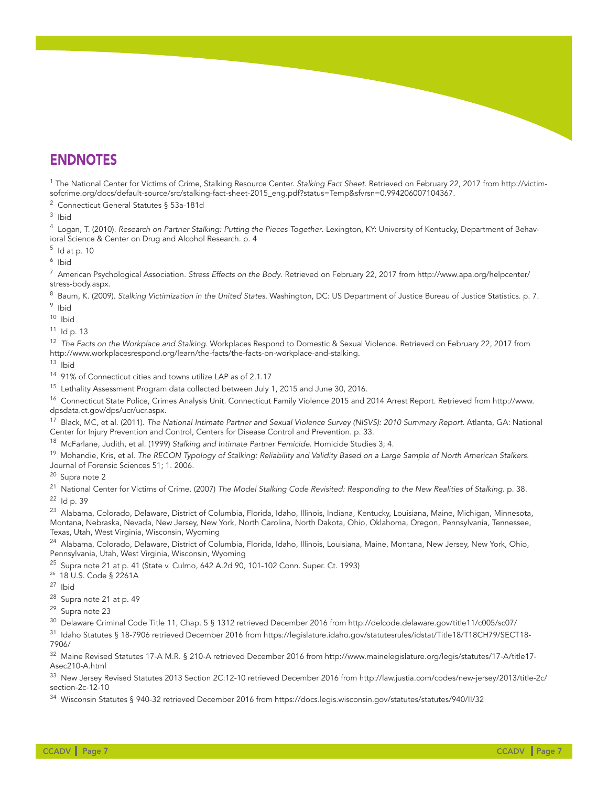# ENDNOTES

1 The National Center for Victims of Crime, Stalking Resource Center. *Stalking Fact Sheet*. Retrieved on February 22, 2017 from http://victimsofcrime.org/docs/default-source/src/stalking-fact-sheet-2015\_eng.pdf?status=Temp&sfvrsn=0.994206007104367.

2 Connecticut General Statutes § 53a-181d

3 Ibid

4 Logan, T. (2010). *Research on Partner Stalking: Putting the Pieces Together*. Lexington, KY: University of Kentucky, Department of Behavioral Science & Center on Drug and Alcohol Research. p. 4

 $^5$  Id at p. 10

6 Ibid

7 American Psychological Association. *Stress Effects on the Body*. Retrieved on February 22, 2017 from http://www.apa.org/helpcenter/ stress-body.aspx.

8 Baum, K. (2009). *Stalking Victimization in the United States*. Washington, DC: US Department of Justice Bureau of Justice Statistics. p. 7. <sup>9</sup> Ibid

10 Ibid

 $11$  Id p. 13

12 *The Facts on the Workplace and Stalking*. Workplaces Respond to Domestic & Sexual Violence. Retrieved on February 22, 2017 from http://www.workplacesrespond.org/learn/the-facts/the-facts-on-workplace-and-stalking.

13 Ibid

14 91% of Connecticut cities and towns utilize LAP as of 2.1.17

<sup>15</sup> Lethality Assessment Program data collected between July 1, 2015 and June 30, 2016.

16 Connecticut State Police, Crimes Analysis Unit. Connecticut Family Violence 2015 and 2014 Arrest Report. Retrieved from http://www. dpsdata.ct.gov/dps/ucr/ucr.aspx.

17 Black, MC, et al. (2011). *The National Intimate Partner and Sexual Violence Survey (NISVS): 2010 Summary Report*. Atlanta, GA: National Center for Injury Prevention and Control, Centers for Disease Control and Prevention. p. 33.

18 McFarlane, Judith, et al. (1999) *Stalking and Intimate Partner Femicide*. Homicide Studies 3; 4.

19 Mohandie, Kris, et al. *The RECON Typology of Stalking: Reliability and Validity Based on a Large Sample of North American Stalkers*. Journal of Forensic Sciences 51; 1. 2006.

20 Supra note 2

21 National Center for Victims of Crime. (2007) *The Model Stalking Code Revisited: Responding to the New Realities of Stalking*. p. 38. 22 Id p. 39

<sup>23</sup> Alabama, Colorado, Delaware, District of Columbia, Florida, Idaho, Illinois, Indiana, Kentucky, Louisiana, Maine, Michigan, Minnesota, Montana, Nebraska, Nevada, New Jersey, New York, North Carolina, North Dakota, Ohio, Oklahoma, Oregon, Pennsylvania, Tennessee, Texas, Utah, West Virginia, Wisconsin, Wyoming

<sup>24</sup> Alabama, Colorado, Delaware, District of Columbia, Florida, Idaho, Illinois, Louisiana, Maine, Montana, New Jersey, New York, Ohio, Pennsylvania, Utah, West Virginia, Wisconsin, Wyoming

 $25$  Supra note 21 at p. 41 (State v. Culmo, 642 A.2d 90, 101-102 Conn. Super. Ct. 1993)

26 18 U.S. Code § 2261A

27 Ibid

<sup>28</sup> Supra note 21 at p. 49

29 Supra note 23

30 Delaware Criminal Code Title 11, Chap. 5 § 1312 retrieved December 2016 from http://delcode.delaware.gov/title11/c005/sc07/

31 Idaho Statutes § 18-7906 retrieved December 2016 from https://legislature.idaho.gov/statutesrules/idstat/Title18/T18CH79/SECT18- 7906/

32 Maine Revised Statutes 17-A M.R. § 210-A retrieved December 2016 from http://www.mainelegislature.org/legis/statutes/17-A/title17- Asec210-A.html

33 New Jersey Revised Statutes 2013 Section 2C:12-10 retrieved December 2016 from http://law.justia.com/codes/new-jersey/2013/title-2c/ section-2c-12-10

34 Wisconsin Statutes § 940-32 retrieved December 2016 from https://docs.legis.wisconsin.gov/statutes/statutes/940/II/32